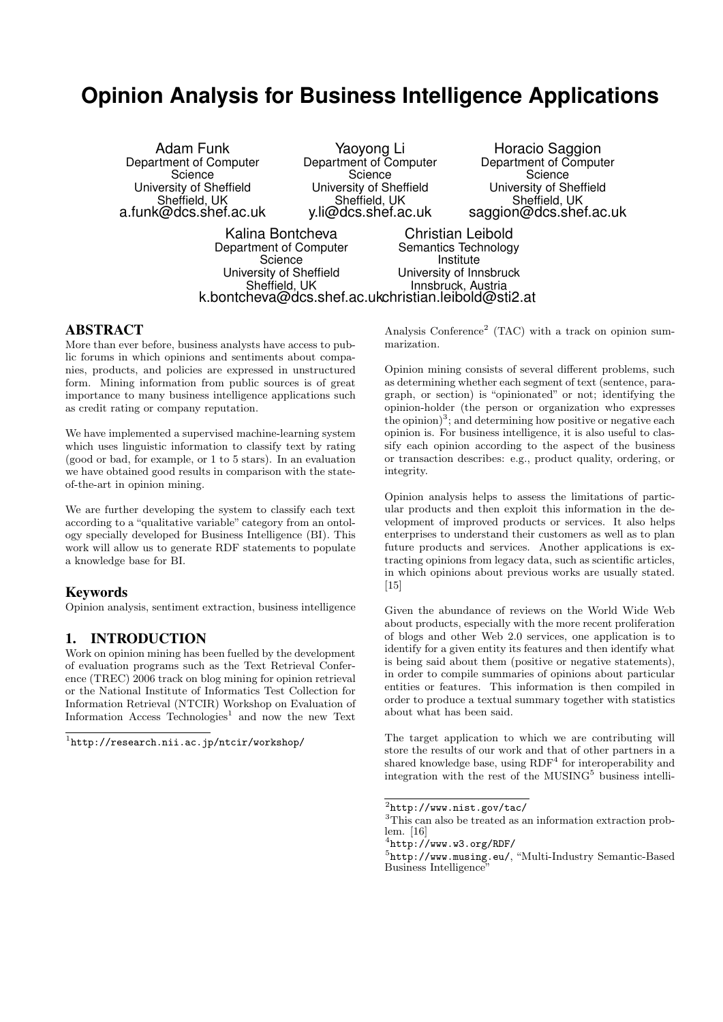# **Opinion Analysis for Business Intelligence Applications**

| Adam Funk               | Yaoyong Li              | Hora                  |
|-------------------------|-------------------------|-----------------------|
| Department of Computer  | Department of Computer  | Departm               |
| Science                 | Science                 |                       |
| University of Sheffield | University of Sheffield | <b>Univers</b>        |
| Sheffield, UK           | Sheffield, UK           | Sh                    |
| a.funk@dcs.shef.ac.uk   | y.li@dcs.shef.ac.uk     | saggion               |
| 17. P. D. H.L.          |                         | AL 5. P. . L. 9. . LL |

cio Saggion ent of Computer **Science** sity of Sheffield effield, UK @dcs.shef.ac.uk

Kalina Bontcheva Department of Computer **Science** University of Sheffield Sheffield, UK k.bontcheva@dcs.shef.ac.uk christian.leibold@sti2.at Christian Leibold Semantics Technology Institute University of Innsbruck Innsbruck, Austria

## ABSTRACT

More than ever before, business analysts have access to public forums in which opinions and sentiments about companies, products, and policies are expressed in unstructured form. Mining information from public sources is of great importance to many business intelligence applications such as credit rating or company reputation.

We have implemented a supervised machine-learning system which uses linguistic information to classify text by rating (good or bad, for example, or 1 to 5 stars). In an evaluation we have obtained good results in comparison with the stateof-the-art in opinion mining.

We are further developing the system to classify each text according to a "qualitative variable" category from an ontology specially developed for Business Intelligence (BI). This work will allow us to generate RDF statements to populate a knowledge base for BI.

#### **Keywords**

Opinion analysis, sentiment extraction, business intelligence

#### 1. INTRODUCTION

Work on opinion mining has been fuelled by the development of evaluation programs such as the Text Retrieval Conference (TREC) 2006 track on blog mining for opinion retrieval or the National Institute of Informatics Test Collection for Information Retrieval (NTCIR) Workshop on Evaluation of Information Access Technologies<sup>1</sup> and now the new Text

1 http://research.nii.ac.jp/ntcir/workshop/

Analysis Conference<sup>2</sup> (TAC) with a track on opinion summarization.

Opinion mining consists of several different problems, such as determining whether each segment of text (sentence, paragraph, or section) is "opinionated" or not; identifying the opinion-holder (the person or organization who expresses the opinion)<sup>3</sup>; and determining how positive or negative each opinion is. For business intelligence, it is also useful to classify each opinion according to the aspect of the business or transaction describes: e.g., product quality, ordering, or integrity.

Opinion analysis helps to assess the limitations of particular products and then exploit this information in the development of improved products or services. It also helps enterprises to understand their customers as well as to plan future products and services. Another applications is extracting opinions from legacy data, such as scientific articles, in which opinions about previous works are usually stated.  $[15]$ 

Given the abundance of reviews on the World Wide Web about products, especially with the more recent proliferation of blogs and other Web 2.0 services, one application is to identify for a given entity its features and then identify what is being said about them (positive or negative statements), in order to compile summaries of opinions about particular entities or features. This information is then compiled in order to produce a textual summary together with statistics about what has been said.

The target application to which we are contributing will store the results of our work and that of other partners in a shared knowledge base, using  $RDF<sup>4</sup>$  for interoperability and integration with the rest of the MUSING<sup>5</sup> business intelli-

 $^{2}$ http://www.nist.gov/tac/

<sup>&</sup>lt;sup>3</sup>This can also be treated as an information extraction problem. [16]

<sup>4</sup> http://www.w3.org/RDF/

<sup>5</sup> http://www.musing.eu/, "Multi-Industry Semantic-Based Business Intelligence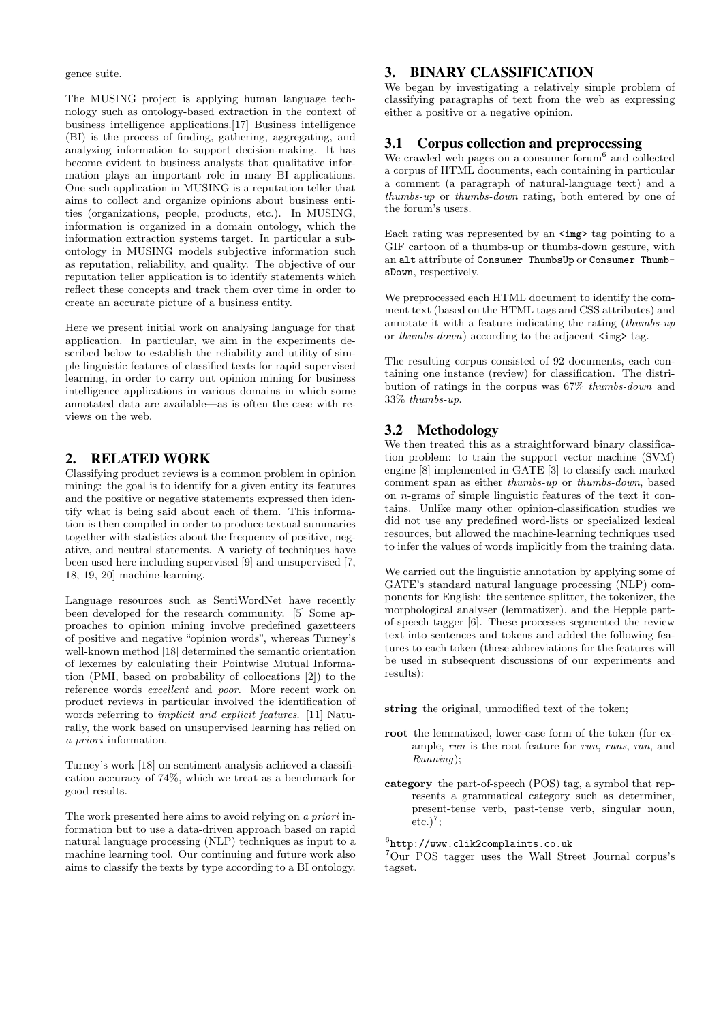gence suite.

The MUSING project is applying human language technology such as ontology-based extraction in the context of business intelligence applications.[17] Business intelligence (BI) is the process of finding, gathering, aggregating, and analyzing information to support decision-making. It has become evident to business analysts that qualitative information plays an important role in many BI applications. One such application in MUSING is a reputation teller that aims to collect and organize opinions about business entities (organizations, people, products, etc.). In MUSING, information is organized in a domain ontology, which the information extraction systems target. In particular a subontology in MUSING models subjective information such as reputation, reliability, and quality. The objective of our reputation teller application is to identify statements which reflect these concepts and track them over time in order to create an accurate picture of a business entity.

Here we present initial work on analysing language for that application. In particular, we aim in the experiments described below to establish the reliability and utility of simple linguistic features of classified texts for rapid supervised learning, in order to carry out opinion mining for business intelligence applications in various domains in which some annotated data are available—as is often the case with reviews on the web.

## 2. RELATED WORK

Classifying product reviews is a common problem in opinion mining: the goal is to identify for a given entity its features and the positive or negative statements expressed then identify what is being said about each of them. This information is then compiled in order to produce textual summaries together with statistics about the frequency of positive, negative, and neutral statements. A variety of techniques have been used here including supervised [9] and unsupervised [7, 18, 19, 20] machine-learning.

Language resources such as SentiWordNet have recently been developed for the research community. [5] Some approaches to opinion mining involve predefined gazetteers of positive and negative "opinion words", whereas Turney's well-known method [18] determined the semantic orientation of lexemes by calculating their Pointwise Mutual Information (PMI, based on probability of collocations [2]) to the reference words excellent and poor. More recent work on product reviews in particular involved the identification of words referring to implicit and explicit features. [11] Naturally, the work based on unsupervised learning has relied on a priori information.

Turney's work [18] on sentiment analysis achieved a classification accuracy of 74%, which we treat as a benchmark for good results.

The work presented here aims to avoid relying on a priori information but to use a data-driven approach based on rapid natural language processing (NLP) techniques as input to a machine learning tool. Our continuing and future work also aims to classify the texts by type according to a BI ontology.

# 3. BINARY CLASSIFICATION

We began by investigating a relatively simple problem of classifying paragraphs of text from the web as expressing either a positive or a negative opinion.

## 3.1 Corpus collection and preprocessing

We crawled web pages on a consumer forum<sup>6</sup> and collected a corpus of HTML documents, each containing in particular a comment (a paragraph of natural-language text) and a thumbs-up or thumbs-down rating, both entered by one of the forum's users.

Each rating was represented by an  $\langle \text{img} \rangle$  tag pointing to a GIF cartoon of a thumbs-up or thumbs-down gesture, with an alt attribute of Consumer ThumbsUp or Consumer ThumbsDown, respectively.

We preprocessed each HTML document to identify the comment text (based on the HTML tags and CSS attributes) and annotate it with a feature indicating the rating (thumbs-up or thumbs-down) according to the adjacent  $\langle \text{img} \rangle$  tag.

The resulting corpus consisted of 92 documents, each containing one instance (review) for classification. The distribution of ratings in the corpus was 67% thumbs-down and 33% thumbs-up.

# 3.2 Methodology

We then treated this as a straightforward binary classification problem: to train the support vector machine (SVM) engine [8] implemented in GATE [3] to classify each marked comment span as either thumbs-up or thumbs-down, based on n-grams of simple linguistic features of the text it contains. Unlike many other opinion-classification studies we did not use any predefined word-lists or specialized lexical resources, but allowed the machine-learning techniques used to infer the values of words implicitly from the training data.

We carried out the linguistic annotation by applying some of GATE's standard natural language processing (NLP) components for English: the sentence-splitter, the tokenizer, the morphological analyser (lemmatizer), and the Hepple partof-speech tagger [6]. These processes segmented the review text into sentences and tokens and added the following features to each token (these abbreviations for the features will be used in subsequent discussions of our experiments and results):

string the original, unmodified text of the token;

- root the lemmatized, lower-case form of the token (for example, run is the root feature for run, runs, ran, and Running);
- category the part-of-speech (POS) tag, a symbol that represents a grammatical category such as determiner, present-tense verb, past-tense verb, singular noun,  $etc.)<sup>7</sup>$ ;

6 http://www.clik2complaints.co.uk

<sup>7</sup>Our POS tagger uses the Wall Street Journal corpus's tagset.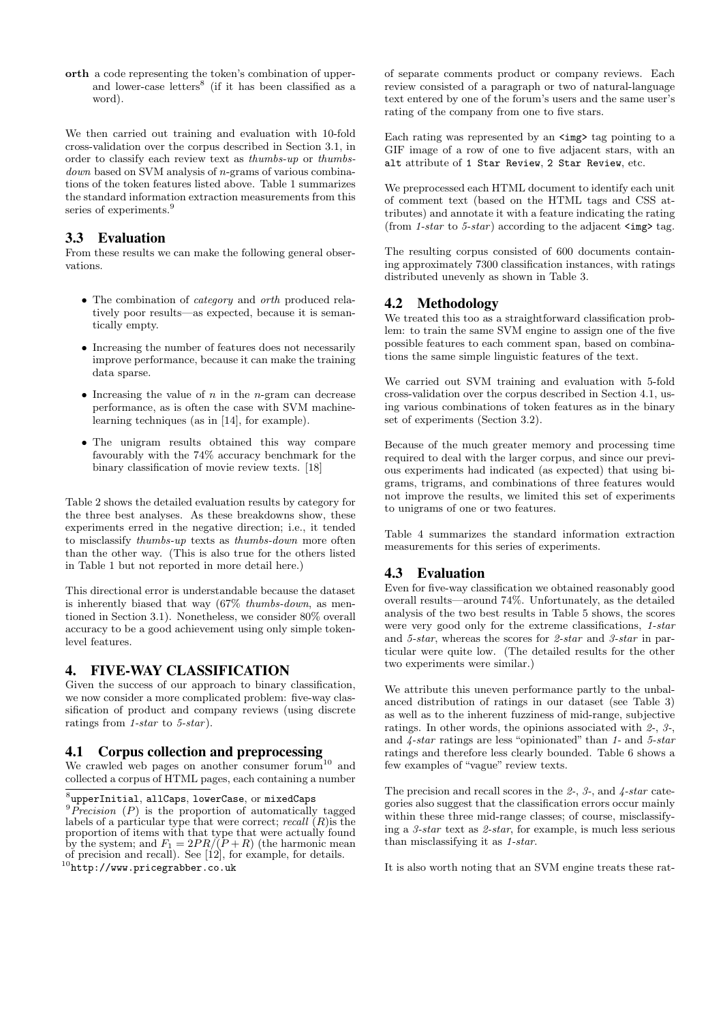orth a code representing the token's combination of upperand lower-case letters<sup>8</sup> (if it has been classified as a word).

We then carried out training and evaluation with 10-fold cross-validation over the corpus described in Section 3.1, in order to classify each review text as thumbs-up or thumbsdown based on SVM analysis of n-grams of various combinations of the token features listed above. Table 1 summarizes the standard information extraction measurements from this series of experiments.<sup>9</sup>

# 3.3 Evaluation

From these results we can make the following general observations.

- The combination of category and orth produced relatively poor results—as expected, because it is semantically empty.
- Increasing the number of features does not necessarily improve performance, because it can make the training data sparse.
- Increasing the value of  $n$  in the *n*-gram can decrease performance, as is often the case with SVM machinelearning techniques (as in [14], for example).
- The unigram results obtained this way compare favourably with the 74% accuracy benchmark for the binary classification of movie review texts. [18]

Table 2 shows the detailed evaluation results by category for the three best analyses. As these breakdowns show, these experiments erred in the negative direction; i.e., it tended to misclassify thumbs-up texts as thumbs-down more often than the other way. (This is also true for the others listed in Table 1 but not reported in more detail here.)

This directional error is understandable because the dataset is inherently biased that way (67% thumbs-down, as mentioned in Section 3.1). Nonetheless, we consider 80% overall accuracy to be a good achievement using only simple tokenlevel features.

# 4. FIVE-WAY CLASSIFICATION

Given the success of our approach to binary classification, we now consider a more complicated problem: five-way classification of product and company reviews (using discrete ratings from  $1-star$  to  $5-star$ ).

#### 4.1 Corpus collection and preprocessing

We crawled web pages on another consumer forum<sup>10</sup> and collected a corpus of HTML pages, each containing a number

of separate comments product or company reviews. Each review consisted of a paragraph or two of natural-language text entered by one of the forum's users and the same user's rating of the company from one to five stars.

Each rating was represented by an  $\langle \text{img} \rangle$  tag pointing to a GIF image of a row of one to five adjacent stars, with an alt attribute of 1 Star Review, 2 Star Review, etc.

We preprocessed each HTML document to identify each unit of comment text (based on the HTML tags and CSS attributes) and annotate it with a feature indicating the rating (from 1-star to 5-star) according to the adjacent  $\langle \text{img} \rangle$  tag.

The resulting corpus consisted of 600 documents containing approximately 7300 classification instances, with ratings distributed unevenly as shown in Table 3.

# 4.2 Methodology

We treated this too as a straightforward classification problem: to train the same SVM engine to assign one of the five possible features to each comment span, based on combinations the same simple linguistic features of the text.

We carried out SVM training and evaluation with 5-fold cross-validation over the corpus described in Section 4.1, using various combinations of token features as in the binary set of experiments (Section 3.2).

Because of the much greater memory and processing time required to deal with the larger corpus, and since our previous experiments had indicated (as expected) that using bigrams, trigrams, and combinations of three features would not improve the results, we limited this set of experiments to unigrams of one or two features.

Table 4 summarizes the standard information extraction measurements for this series of experiments.

# 4.3 Evaluation

Even for five-way classification we obtained reasonably good overall results—around 74%. Unfortunately, as the detailed analysis of the two best results in Table 5 shows, the scores were very good only for the extreme classifications, 1-star and 5-star, whereas the scores for 2-star and 3-star in particular were quite low. (The detailed results for the other two experiments were similar.)

We attribute this uneven performance partly to the unbalanced distribution of ratings in our dataset (see Table 3) as well as to the inherent fuzziness of mid-range, subjective ratings. In other words, the opinions associated with 2-, 3-, and  $\lambda$ -star ratings are less "opinionated" than 1- and 5-star ratings and therefore less clearly bounded. Table 6 shows a few examples of "vague" review texts.

The precision and recall scores in the  $2-$ ,  $3-$ , and  $4$ -star categories also suggest that the classification errors occur mainly within these three mid-range classes; of course, misclassifying a 3-star text as 2-star, for example, is much less serious than misclassifying it as 1-star.

It is also worth noting that an SVM engine treats these rat-

 ${}^{8}$ upperInitial, allCaps, lowerCase, or mixedCaps  ${}^{9}Precision$  (P) is the proportion of automatically tagged labels of a particular type that were correct; recall  $(R)$  is the proportion of items with that type that were actually found by the system; and  $F_1 = 2PR/(P+R)$  (the harmonic mean of precision and recall). See  $[12]$ , for example, for details.  $^{10}$ http://www.pricegrabber.co.uk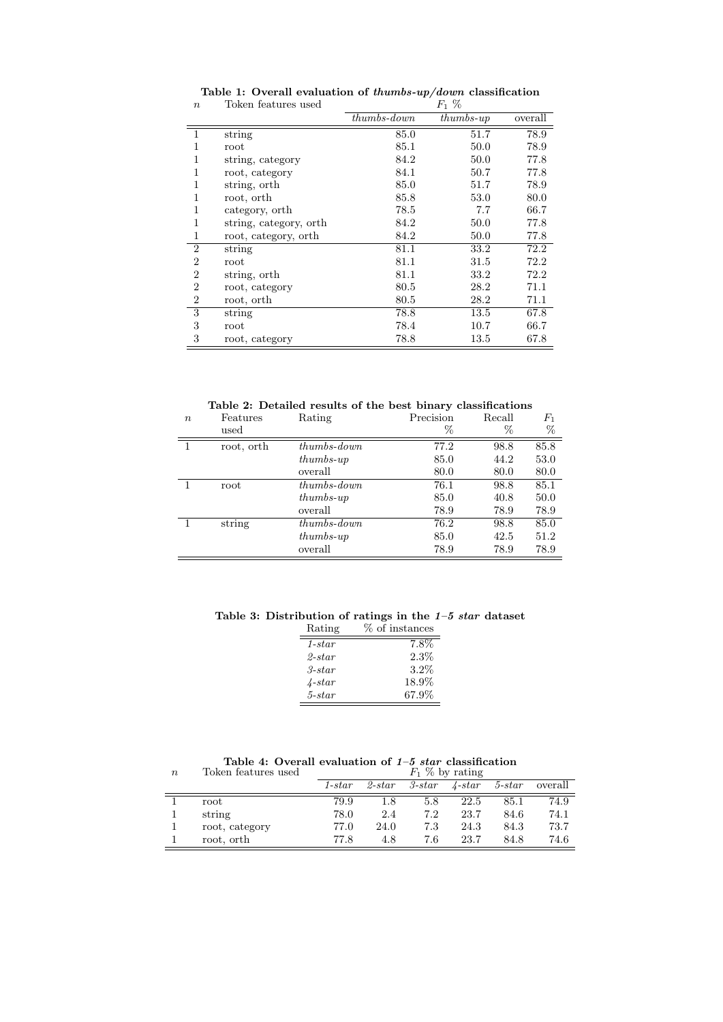|                |                        | $thumbs-down$ | $thumbs-up$ | overall |
|----------------|------------------------|---------------|-------------|---------|
|                | string                 | 85.0          | 51.7        | 78.9    |
|                | root                   | 85.1          | 50.0        | 78.9    |
|                | string, category       | 84.2          | 50.0        | 77.8    |
| 1              | root, category         | 84.1          | 50.7        | 77.8    |
|                | string, orth           | 85.0          | 51.7        | 78.9    |
| 1              | root, orth             | 85.8          | 53.0        | 80.0    |
| 1              | category, orth         | 78.5          | 7.7         | 66.7    |
| 1              | string, category, orth | 84.2          | 50.0        | 77.8    |
| 1              | root, category, orth   | 84.2          | 50.0        | 77.8    |
| $\overline{2}$ | string                 | 81.1          | 33.2        | 72.2    |
| 2              | root                   | 81.1          | 31.5        | 72.2    |
| 2              | string, orth           | 81.1          | 33.2        | 72.2    |
| $\overline{2}$ | root, category         | 80.5          | 28.2        | 71.1    |
| 2              | root, orth             | 80.5          | 28.2        | 71.1    |
| 3              | string                 | 78.8          | 13.5        | 67.8    |
| 3              | root                   | 78.4          | 10.7        | 66.7    |
| 3              | root, category         | 78.8          | 13.5        | 67.8    |

Table 1: Overall evaluation of *thumbs-up/down* classification<br>  $F_1 \%$  $n$  Token features used

Table 2: Detailed results of the best binary classifications

| $\boldsymbol{n}$ | Features<br>used | Rating        | Precision<br>% | Recall<br>% | $F_{\rm 1}$<br>% |
|------------------|------------------|---------------|----------------|-------------|------------------|
|                  | root, orth       | $thumbs-down$ | 77.2           | 98.8        | 85.8             |
|                  |                  | $thumbs-up$   | 85.0           | 44.2        | 53.0             |
|                  |                  | overall       | 80.0           | 80.0        | 80.0             |
|                  | root             | $thumbs-down$ | 76.1           | 98.8        | 85.1             |
|                  |                  | $thumbs-up$   | 85.0           | 40.8        | 50.0             |
|                  |                  | overall       | 78.9           | 78.9        | 78.9             |
|                  | string           | $thumbs-down$ | 76.2           | 98.8        | 85.0             |
|                  |                  | $thumbs-up$   | 85.0           | 42.5        | 51.2             |
|                  |                  | overall       | 78.9           | 78.9        | 78.9             |

Table 3: Distribution of ratings in the  $1-5$  star dataset

| % of instances |
|----------------|
| $7.8\%$        |
| 2.3%           |
| $3.2\%$        |
| 18.9%          |
| 67.9%          |
|                |

Table 4: Overall evaluation of  $1-5$  star classification

| $\boldsymbol{n}$ | Token features used | $F_1$ % by rating |           |                 |                 |                 |         |
|------------------|---------------------|-------------------|-----------|-----------------|-----------------|-----------------|---------|
|                  |                     | $1 - star$        | $2$ -star | $3\text{-}star$ | $\lambda$ -star | $5\text{-}star$ | overall |
|                  | root                | 79.9              | 1.8       | 5.8             | 22.5            | 85.1            | 74.9    |
|                  | string              | 78.0              | 2.4       | 7.2             | 23.7            | 84.6            | 74.1    |
|                  | root, category      | 77.0              | 24.0      | 7.3             | 24.3            | 84.3            | 73.7    |
|                  | root, orth          | 77.8              | 4.8       | 7.6             | 23.7            | 84.8            | 74.6    |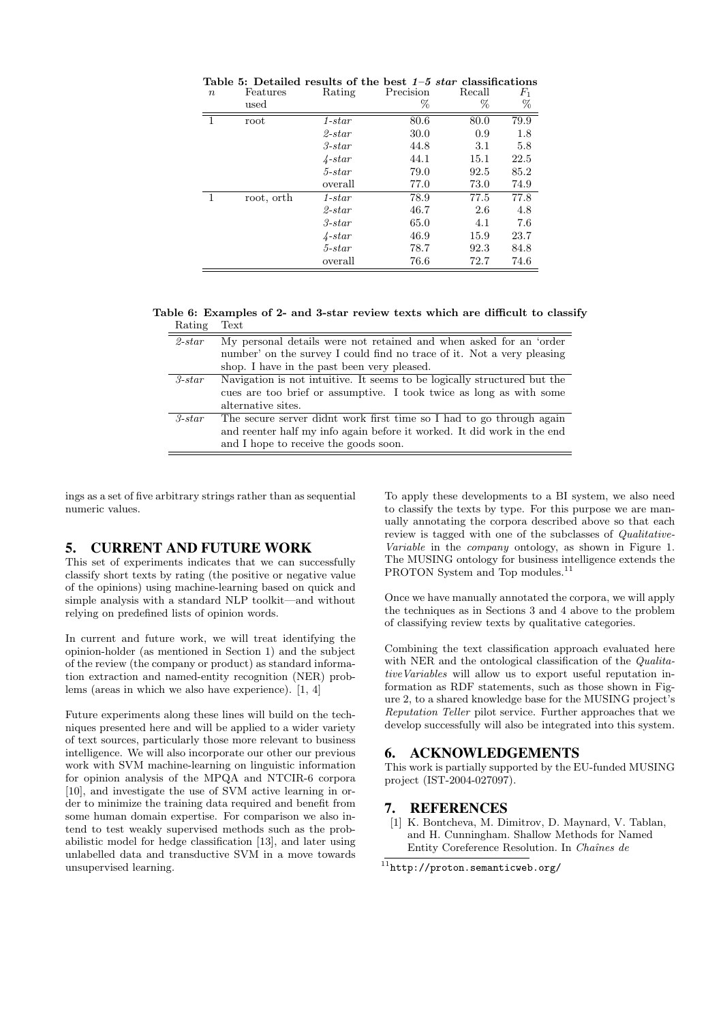|         |            | Table 5: Detailed results of the best $1\neg b$ star classifications |           |        |       |
|---------|------------|----------------------------------------------------------------------|-----------|--------|-------|
| $\it n$ | Features   | Rating                                                               | Precision | Recall | $F_1$ |
|         | used       |                                                                      | %         | %      | %     |
|         | root       | $1 - star$                                                           | 80.6      | 80.0   | 79.9  |
|         |            | $2\text{-}star$                                                      | 30.0      | 0.9    | 1.8   |
|         |            | $3\text{-}star$                                                      | 44.8      | 3.1    | 5.8   |
|         |            | $\lambda$ -star                                                      | 44.1      | 15.1   | 22.5  |
|         |            | $5$ -star                                                            | 79.0      | 92.5   | 85.2  |
|         |            | overall                                                              | 77.0      | 73.0   | 74.9  |
|         | root, orth | $1 - star$                                                           | 78.9      | 77.5   | 77.8  |
|         |            | $2\text{-}star$                                                      | 46.7      | 2.6    | 4.8   |
|         |            | $3\text{-}star$                                                      | 65.0      | 4.1    | 7.6   |
|         |            | $\sqrt{4 - star}$                                                    | 46.9      | 15.9   | 23.7  |
|         |            | $5$ -star                                                            | 78.7      | 92.3   | 84.8  |
|         |            | overall                                                              | 76.6      | 72.7   | 74.6  |

|                |          | Table 5: Detailed results of the best $1-5$ star classifications |           |        |               |
|----------------|----------|------------------------------------------------------------------|-----------|--------|---------------|
| $\overline{n}$ | Features | Rating                                                           | Precision | Recall | $F_1$         |
|                |          |                                                                  |           |        | $\sim$ $\sim$ |

Table 6: Examples of 2- and 3-star review texts which are difficult to classify Rating Text

| $2\text{-}star$ | My personal details were not retained and when asked for an 'order       |
|-----------------|--------------------------------------------------------------------------|
|                 | number' on the survey I could find no trace of it. Not a very pleasing   |
|                 | shop. I have in the past been very pleased.                              |
| $3\text{-}star$ | Navigation is not intuitive. It seems to be logically structured but the |
|                 | cues are too brief or assumptive. I took twice as long as with some      |
|                 | alternative sites.                                                       |
| $3\text{-}star$ | The secure server didnt work first time so I had to go through again     |
|                 | and reenter half my info again before it worked. It did work in the end  |
|                 | and I hope to receive the goods soon.                                    |

ings as a set of five arbitrary strings rather than as sequential numeric values.

#### 5. CURRENT AND FUTURE WORK

This set of experiments indicates that we can successfully classify short texts by rating (the positive or negative value of the opinions) using machine-learning based on quick and simple analysis with a standard NLP toolkit—and without relying on predefined lists of opinion words.

In current and future work, we will treat identifying the opinion-holder (as mentioned in Section 1) and the subject of the review (the company or product) as standard information extraction and named-entity recognition (NER) problems (areas in which we also have experience). [1, 4]

Future experiments along these lines will build on the techniques presented here and will be applied to a wider variety of text sources, particularly those more relevant to business intelligence. We will also incorporate our other our previous work with SVM machine-learning on linguistic information for opinion analysis of the MPQA and NTCIR-6 corpora [10], and investigate the use of SVM active learning in order to minimize the training data required and benefit from some human domain expertise. For comparison we also intend to test weakly supervised methods such as the probabilistic model for hedge classification [13], and later using unlabelled data and transductive SVM in a move towards unsupervised learning.

To apply these developments to a BI system, we also need to classify the texts by type. For this purpose we are manually annotating the corpora described above so that each review is tagged with one of the subclasses of Qualitative-Variable in the company ontology, as shown in Figure 1. The MUSING ontology for business intelligence extends the PROTON System and Top modules.<sup>11</sup>

Once we have manually annotated the corpora, we will apply the techniques as in Sections 3 and 4 above to the problem of classifying review texts by qualitative categories.

Combining the text classification approach evaluated here with NER and the ontological classification of the *Qualita*tiveVariables will allow us to export useful reputation information as RDF statements, such as those shown in Figure 2, to a shared knowledge base for the MUSING project's Reputation Teller pilot service. Further approaches that we develop successfully will also be integrated into this system.

# 6. ACKNOWLEDGEMENTS

This work is partially supported by the EU-funded MUSING project (IST-2004-027097).

#### 7. REFERENCES

[1] K. Bontcheva, M. Dimitrov, D. Maynard, V. Tablan, and H. Cunningham. Shallow Methods for Named Entity Coreference Resolution. In Chaînes de

 $^{11}$ http://proton.semanticweb.org/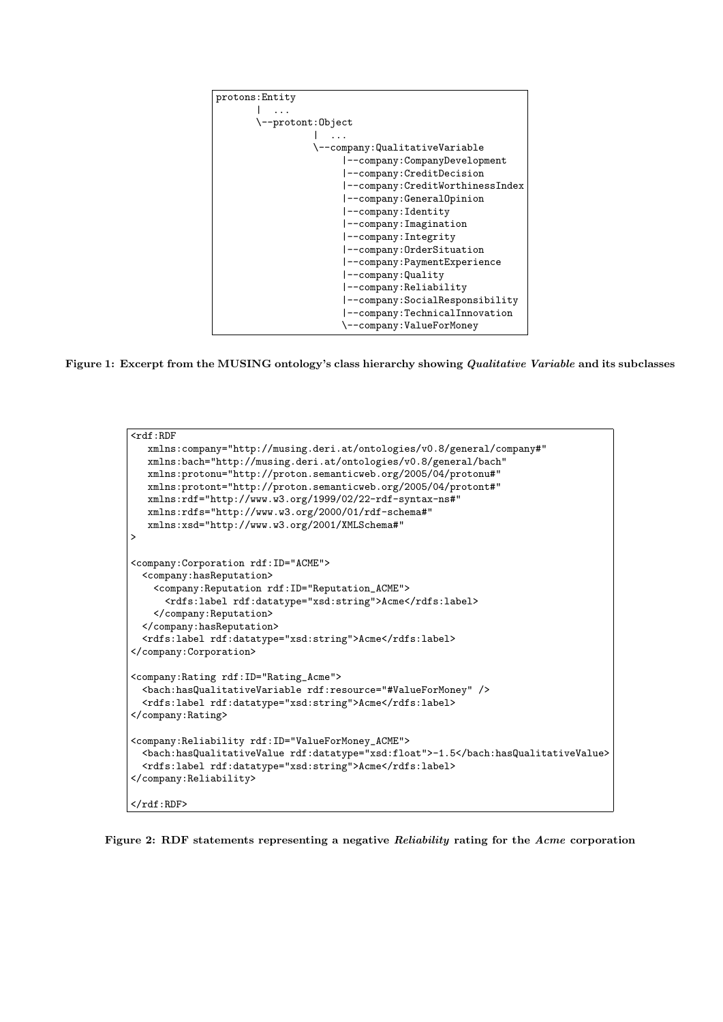

Figure 1: Excerpt from the MUSING ontology's class hierarchy showing *Qualitative Variable* and its subclasses

```
\overline{\mathsf{crdf}}:RDF
   xmlns:company="http://musing.deri.at/ontologies/v0.8/general/company#"
   xmlns:bach="http://musing.deri.at/ontologies/v0.8/general/bach"
  xmlns:protonu="http://proton.semanticweb.org/2005/04/protonu#"
  xmlns:protont="http://proton.semanticweb.org/2005/04/protont#"
   xmlns:rdf="http://www.w3.org/1999/02/22-rdf-syntax-ns#"
   xmlns:rdfs="http://www.w3.org/2000/01/rdf-schema#"
   xmlns:xsd="http://www.w3.org/2001/XMLSchema#"
\overline{ }<company:Corporation rdf:ID="ACME">
  <company:hasReputation>
    <company:Reputation rdf:ID="Reputation_ACME">
      <rdfs:label rdf:datatype="xsd:string">Acme</rdfs:label>
    </company:Reputation>
  </company:hasReputation>
  <rdfs:label rdf:datatype="xsd:string">Acme</rdfs:label>
</company:Corporation>
<company:Rating rdf:ID="Rating_Acme">
  <bach:hasQualitativeVariable rdf:resource="#ValueForMoney" />
  <rdfs:label rdf:datatype="xsd:string">Acme</rdfs:label>
</company:Rating>
<company:Reliability rdf:ID="ValueForMoney_ACME">
  <bach:hasQualitativeValue rdf:datatype="xsd:float">-1.5</bach:hasQualitativeValue>
  <rdfs:label rdf:datatype="xsd:string">Acme</rdfs:label>
</company:Reliability>
\langle \text{rdf:RDF} \rangle
```
Figure 2: RDF statements representing a negative Reliability rating for the Acme corporation